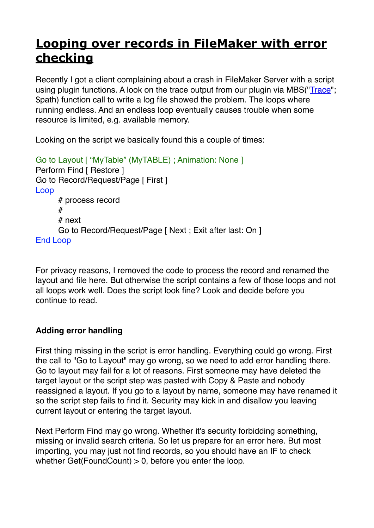## **[Looping over records in FileMaker with error](https://www.mbs-plugins.com/archive/2020-03-22/Looping_over_records_in_FileMa/monkeybreadsoftware_blog_filemaker)  [checking](https://www.mbs-plugins.com/archive/2020-03-22/Looping_over_records_in_FileMa/monkeybreadsoftware_blog_filemaker)**

Recently I got a client complaining about a crash in FileMaker Server with a script using plugin functions. A look on the trace output from our plugin via MBS("[Trace"](https://www.mbsplugins.eu/Trace.shtml); \$path) function call to write a log file showed the problem. The loops where running endless. And an endless loop eventually causes trouble when some resource is limited, e.g. available memory.

Looking on the script we basically found this a couple of times:

```
Go to Layout [ "MyTable" (MyTABLE) ; Animation: None ]
Perform Find [ Restore ]
Go to Record/Request/Page [ First ]
Loop
     # process record
     #
     # next
      Go to Record/Request/Page [ Next ; Exit after last: On ]
End Loop
```
For privacy reasons, I removed the code to process the record and renamed the layout and file here. But otherwise the script contains a few of those loops and not all loops work well. Does the script look fine? Look and decide before you continue to read.

## **Adding error handling**

First thing missing in the script is error handling. Everything could go wrong. First the call to "Go to Layout" may go wrong, so we need to add error handling there. Go to layout may fail for a lot of reasons. First someone may have deleted the target layout or the script step was pasted with Copy & Paste and nobody reassigned a layout. If you go to a layout by name, someone may have renamed it so the script step fails to find it. Security may kick in and disallow you leaving current layout or entering the target layout.

Next Perform Find may go wrong. Whether it's security forbidding something, missing or invalid search criteria. So let us prepare for an error here. But most importing, you may just not find records, so you should have an IF to check whether Get(FoundCount)  $> 0$ , before you enter the loop.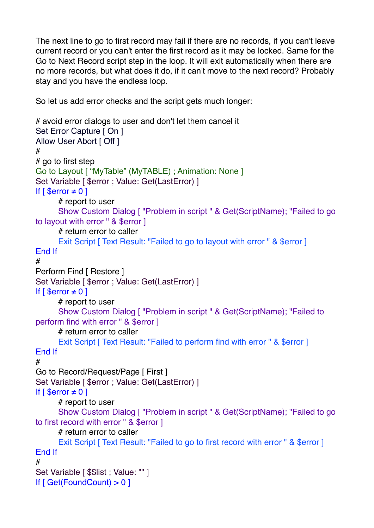The next line to go to first record may fail if there are no records, if you can't leave current record or you can't enter the first record as it may be locked. Same for the Go to Next Record script step in the loop. It will exit automatically when there are no more records, but what does it do, if it can't move to the next record? Probably stay and you have the endless loop.

So let us add error checks and the script gets much longer:

```
# avoid error dialogs to user and don't let them cancel it
Set Error Capture [ On ]
Allow User Abort [ Off ]
#
# go to first step
Go to Layout [ "MyTable" (MyTABLE) ; Animation: None ]
Set Variable [ $error ; Value: Get(LastError) ]
If [ $error \neq 0]# report to user
      Show Custom Dialog [ "Problem in script " & Get(ScriptName); "Failed to go 
to layout with error " & $error ]
      # return error to caller
      Exit Script [ Text Result: "Failed to go to layout with error " & $error ]
End If
#
Perform Find [ Restore ]
Set Variable [ $error ; Value: Get(LastError) ]
If [ $error \neq 0]# report to user
      Show Custom Dialog [ "Problem in script " & Get(ScriptName); "Failed to 
perform find with error " & $error ]
      # return error to caller
      Exit Script [ Text Result: "Failed to perform find with error " & $error ]
End If
#
Go to Record/Request/Page [ First ]
Set Variable [ $error ; Value: Get(LastError) ]
If \lceil $error \neq 0 \rceil# report to user
      Show Custom Dialog [ "Problem in script " & Get(ScriptName); "Failed to go 
to first record with error " & $error ]
      # return error to caller
      Exit Script [ Text Result: "Failed to go to first record with error " & $error ]
End If
#
Set Variable [ $list : Value: " " ]If [ Get(FoundCount) > 0 ]
```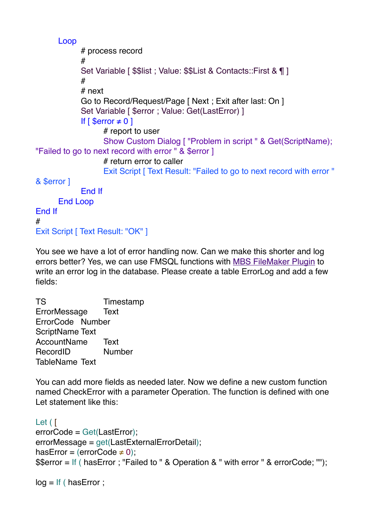Loop # process record # Set Variable [ \$\$list ; Value: \$\$List & Contacts::First & ¶ ] # # next Go to Record/Request/Page [ Next ; Exit after last: On ] Set Variable [ \$error ; Value: Get(LastError) ] If  $\lceil$  \$error  $\neq$  0  $\rceil$ # report to user Show Custom Dialog [ "Problem in script " & Get(ScriptName); "Failed to go to next record with error " & \$error ] # return error to caller Exit Script [ Text Result: "Failed to go to next record with error " & \$error ] End If End Loop End If # Exit Script [ Text Result: "OK" ]

You see we have a lot of error handling now. Can we make this shorter and log errors better? Yes, we can use FMSQL functions with [MBS FileMaker Plugin](https://www.monkeybreadsoftware.com/filemaker/) to write an error log in the database. Please create a table ErrorLog and add a few fields:

TS Timestamp ErrorMessage Text ErrorCode Number ScriptName Text AccountName Text RecordID Number TableName Text

You can add more fields as needed later. Now we define a new custom function named CheckError with a parameter Operation. The function is defined with one Let statement like this:

```
Let ( [
errorCode = Get(LastError);
errorMessage = get(LastExternalErrorDetail);
hasError = (errorCode \neq 0);
$$error = If ( hasError ; "Failed to " & Operation & " with error " & errorCode; "");
```

```
log = If ( has Error ;
```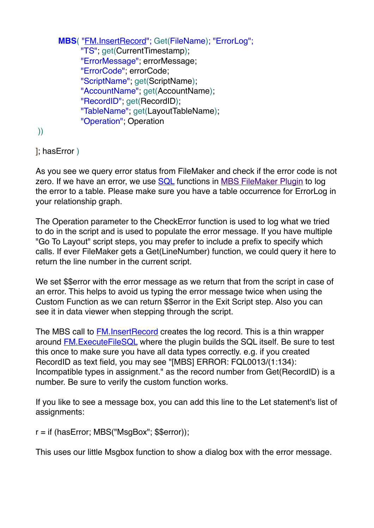```
MBS( "FM.InsertRecord"; Get(FileName); "ErrorLog";
     "TS"; get(CurrentTimestamp);
     "ErrorMessage"; errorMessage;
     "ErrorCode"; errorCode;
     "ScriptName"; get(ScriptName);
     "AccountName"; get(AccountName);
     "RecordID"; get(RecordID);
     "TableName"; get(LayoutTableName);
     "Operation"; Operation
```
))

]; hasError )

As you see we query error status from FileMaker and check if the error code is not zero. If we have an error, we use [SQL](https://www.mbsplugins.eu/component_SQL.shtml) functions in [MBS FileMaker Plugin](https://www.monkeybreadsoftware.com/filemaker/) to log the error to a table. Please make sure you have a table occurrence for ErrorLog in your relationship graph.

The Operation parameter to the CheckError function is used to log what we tried to do in the script and is used to populate the error message. If you have multiple "Go To Layout" script steps, you may prefer to include a prefix to specify which calls. If ever FileMaker gets a Get(LineNumber) function, we could query it here to return the line number in the current script.

We set \$\$error with the error message as we return that from the script in case of an error. This helps to avoid us typing the error message twice when using the Custom Function as we can return \$\$error in the Exit Script step. Also you can see it in data viewer when stepping through the script.

The MBS call to **FM.InsertRecord** creates the log record. This is a thin wrapper around [FM.ExecuteFileSQL](https://www.mbsplugins.eu/FMExecuteFileSQL.shtml) where the plugin builds the SQL itself. Be sure to test this once to make sure you have all data types correctly. e.g. if you created RecordID as text field, you may see "[MBS] ERROR: FQL0013/(1:134): Incompatible types in assignment." as the record number from Get(RecordID) is a number. Be sure to verify the custom function works.

If you like to see a message box, you can add this line to the Let statement's list of assignments:

r = if (hasError; MBS("MsgBox"; \$\$error));

This uses our little Msgbox function to show a dialog box with the error message.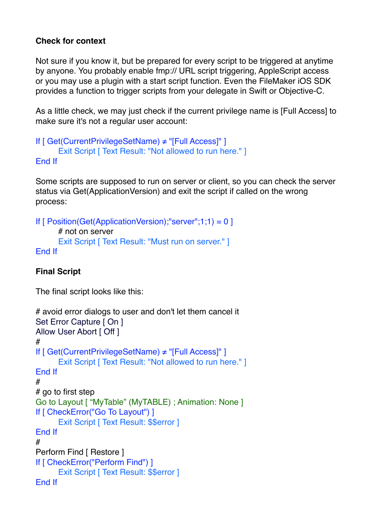## **Check for context**

Not sure if you know it, but be prepared for every script to be triggered at anytime by anyone. You probably enable fmp:// URL script triggering, AppleScript access or you may use a plugin with a start script function. Even the FileMaker iOS SDK provides a function to trigger scripts from your delegate in Swift or Objective-C.

As a little check, we may just check if the current privilege name is [Full Access] to make sure it's not a regular user account:

```
If [ Get(CurrentPrivilegeSetName) ≠ "[Full Access]" ]
      Exit Script [ Text Result: "Not allowed to run here." ]
End If
```
Some scripts are supposed to run on server or client, so you can check the server status via Get(ApplicationVersion) and exit the script if called on the wrong process:

```
If \lceil Position(Get(ApplicationVersion);"server";1;1) = 0 ]
      # not on server
      Exit Script [ Text Result: "Must run on server." ]
End If
```
## **Final Script**

The final script looks like this:

```
# avoid error dialogs to user and don't let them cancel it
Set Error Capture [ On ]
Allow User Abort [ Off ]
#
If [ Get(CurrentPrivilegeSetName) ≠ "[Full Access]" ]
      Exit Script [ Text Result: "Not allowed to run here." ]
End If
#
# go to first step
Go to Layout [ "MyTable" (MyTABLE) ; Animation: None ]
If [ CheckError("Go To Layout") ]
      Exit Script [ Text Result: $$error ]
End If
#
Perform Find [ Restore ]
If [ CheckError("Perform Find") ]
      Exit Script [ Text Result: $$error ]
End If
```